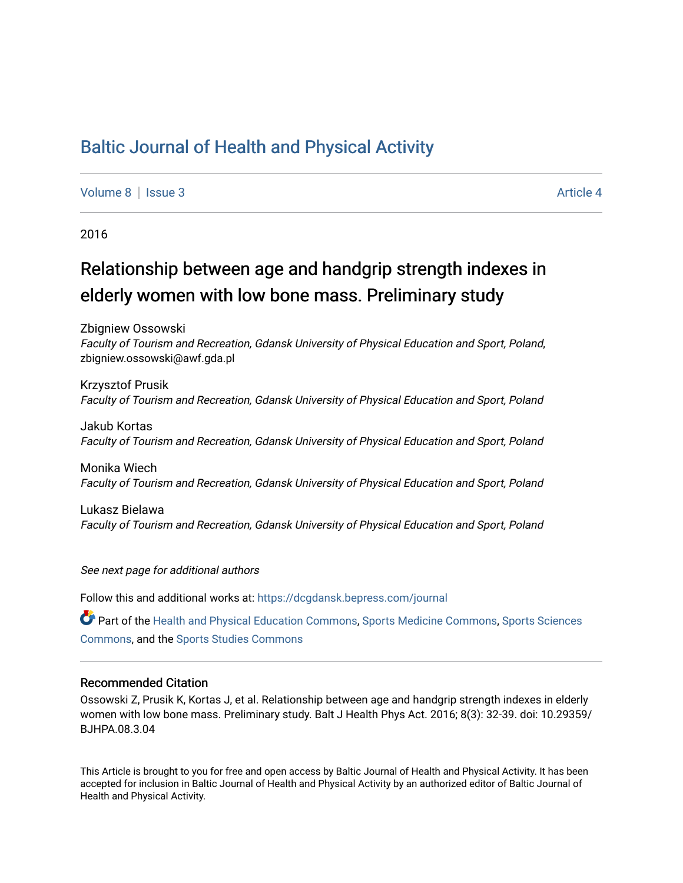## [Baltic Journal of Health and Physical Activity](https://dcgdansk.bepress.com/journal)

[Volume 8](https://dcgdansk.bepress.com/journal/vol8) | [Issue 3](https://dcgdansk.bepress.com/journal/vol8/iss3) Article 4

2016

# Relationship between age and handgrip strength indexes in elderly women with low bone mass. Preliminary study

Zbigniew Ossowski Faculty of Tourism and Recreation, Gdansk University of Physical Education and Sport, Poland, zbigniew.ossowski@awf.gda.pl

Krzysztof Prusik Faculty of Tourism and Recreation, Gdansk University of Physical Education and Sport, Poland

Jakub Kortas Faculty of Tourism and Recreation, Gdansk University of Physical Education and Sport, Poland

Monika Wiech Faculty of Tourism and Recreation, Gdansk University of Physical Education and Sport, Poland

Lukasz Bielawa Faculty of Tourism and Recreation, Gdansk University of Physical Education and Sport, Poland

See next page for additional authors

Follow this and additional works at: [https://dcgdansk.bepress.com/journal](https://dcgdansk.bepress.com/journal?utm_source=dcgdansk.bepress.com%2Fjournal%2Fvol8%2Fiss3%2F4&utm_medium=PDF&utm_campaign=PDFCoverPages)

Part of the [Health and Physical Education Commons](http://network.bepress.com/hgg/discipline/1327?utm_source=dcgdansk.bepress.com%2Fjournal%2Fvol8%2Fiss3%2F4&utm_medium=PDF&utm_campaign=PDFCoverPages), [Sports Medicine Commons,](http://network.bepress.com/hgg/discipline/1331?utm_source=dcgdansk.bepress.com%2Fjournal%2Fvol8%2Fiss3%2F4&utm_medium=PDF&utm_campaign=PDFCoverPages) [Sports Sciences](http://network.bepress.com/hgg/discipline/759?utm_source=dcgdansk.bepress.com%2Fjournal%2Fvol8%2Fiss3%2F4&utm_medium=PDF&utm_campaign=PDFCoverPages) [Commons](http://network.bepress.com/hgg/discipline/759?utm_source=dcgdansk.bepress.com%2Fjournal%2Fvol8%2Fiss3%2F4&utm_medium=PDF&utm_campaign=PDFCoverPages), and the [Sports Studies Commons](http://network.bepress.com/hgg/discipline/1198?utm_source=dcgdansk.bepress.com%2Fjournal%2Fvol8%2Fiss3%2F4&utm_medium=PDF&utm_campaign=PDFCoverPages) 

#### Recommended Citation

Ossowski Z, Prusik K, Kortas J, et al. Relationship between age and handgrip strength indexes in elderly women with low bone mass. Preliminary study. Balt J Health Phys Act. 2016; 8(3): 32-39. doi: 10.29359/ BJHPA.08.3.04

This Article is brought to you for free and open access by Baltic Journal of Health and Physical Activity. It has been accepted for inclusion in Baltic Journal of Health and Physical Activity by an authorized editor of Baltic Journal of Health and Physical Activity.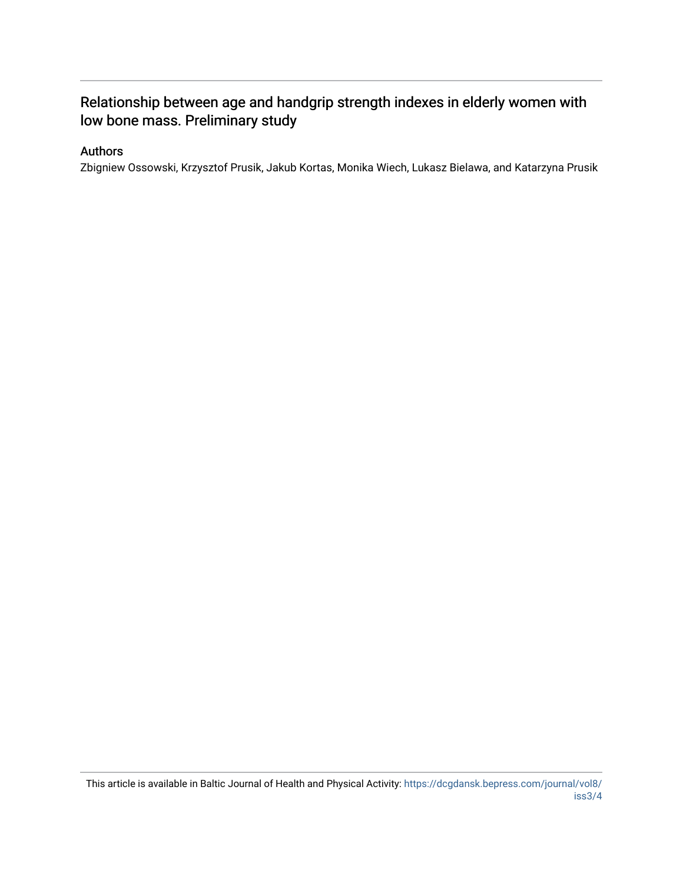## Relationship between age and handgrip strength indexes in elderly women with low bone mass. Preliminary study

## Authors

Zbigniew Ossowski, Krzysztof Prusik, Jakub Kortas, Monika Wiech, Lukasz Bielawa, and Katarzyna Prusik

This article is available in Baltic Journal of Health and Physical Activity: [https://dcgdansk.bepress.com/journal/vol8/](https://dcgdansk.bepress.com/journal/vol8/iss3/4) [iss3/4](https://dcgdansk.bepress.com/journal/vol8/iss3/4)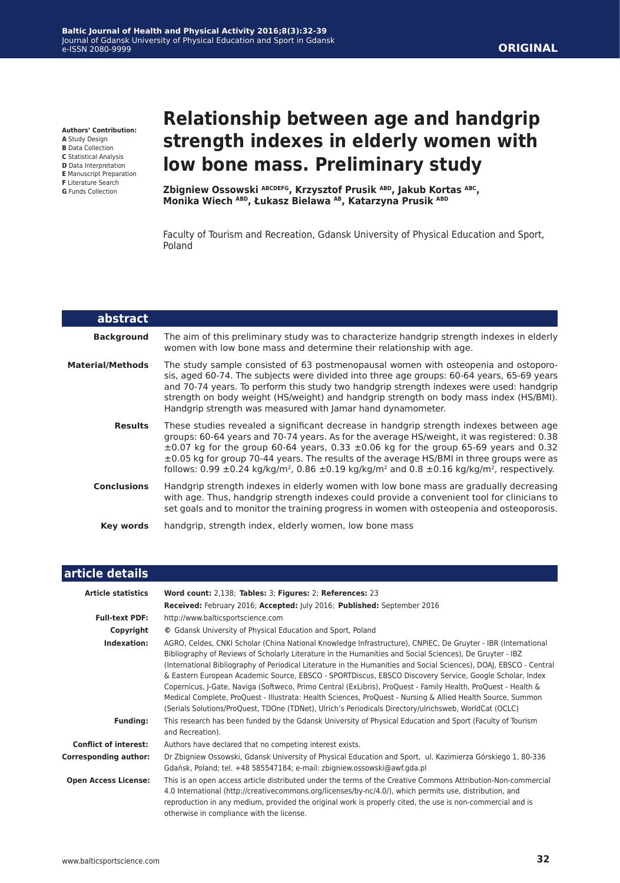**Authors' Contribution:**

- **A** Study Design
- **B** Data Collection **C** Statistical Analysis
- **D** Data Interpretation
- **E** Manuscript Preparation
- **F** Literature Search
- **G** Funds Collection

# **Relationship between age and handgrip strength indexes in elderly women with low bone mass. Preliminary study**

**Zbigniew Ossowski ABCDEFG, Krzysztof Prusik ABD, Jakub Kortas ABC, Monika Wiech ABD, Łukasz Bielawa AB, Katarzyna Prusik ABD**

Faculty of Tourism and Recreation, Gdansk University of Physical Education and Sport, Poland

| abstract                |                                                                                                                                                                                                                                                                                                                                                                                                                                                                                                                           |
|-------------------------|---------------------------------------------------------------------------------------------------------------------------------------------------------------------------------------------------------------------------------------------------------------------------------------------------------------------------------------------------------------------------------------------------------------------------------------------------------------------------------------------------------------------------|
| <b>Background</b>       | The aim of this preliminary study was to characterize handgrip strength indexes in elderly<br>women with low bone mass and determine their relationship with age.                                                                                                                                                                                                                                                                                                                                                         |
| <b>Material/Methods</b> | The study sample consisted of 63 postmenopausal women with osteopenia and ostoporo-<br>sis, aged 60-74. The subjects were divided into three age groups: 60-64 years, 65-69 years<br>and 70-74 years. To perform this study two handgrip strength indexes were used: handgrip<br>strength on body weight (HS/weight) and handgrip strength on body mass index (HS/BMI).<br>Handgrip strength was measured with Jamar hand dynamometer.                                                                                    |
| <b>Results</b>          | These studies revealed a significant decrease in handgrip strength indexes between age<br>groups: 60-64 years and 70-74 years. As for the average HS/weight, it was registered: 0.38<br>$\pm 0.07$ kg for the group 60-64 years, 0.33 $\pm 0.06$ kg for the group 65-69 years and 0.32<br>$\pm 0.05$ kg for group 70-44 years. The results of the average HS/BMI in three groups were as<br>follows: 0.99 ±0.24 kg/kg/m <sup>2</sup> , 0.86 ±0.19 kg/kg/m <sup>2</sup> and 0.8 ±0.16 kg/kg/m <sup>2</sup> , respectively. |
| <b>Conclusions</b>      | Handgrip strength indexes in elderly women with low bone mass are gradually decreasing<br>with age. Thus, handgrip strength indexes could provide a convenient tool for clinicians to<br>set goals and to monitor the training progress in women with osteopenia and osteoporosis.                                                                                                                                                                                                                                        |
| Key words               | handgrip, strength index, elderly women, low bone mass                                                                                                                                                                                                                                                                                                                                                                                                                                                                    |

| article details |  |  |
|-----------------|--|--|
|                 |  |  |
|                 |  |  |

| <b>Article statistics</b>    | Word count: 2,138; Tables: 3; Figures: 2; References: 23                                                                                                                                                                                                                                                                                                                                                                                                                                                                                                                                                                                                                                                                                                                                             |
|------------------------------|------------------------------------------------------------------------------------------------------------------------------------------------------------------------------------------------------------------------------------------------------------------------------------------------------------------------------------------------------------------------------------------------------------------------------------------------------------------------------------------------------------------------------------------------------------------------------------------------------------------------------------------------------------------------------------------------------------------------------------------------------------------------------------------------------|
|                              | Received: February 2016; Accepted: July 2016; Published: September 2016                                                                                                                                                                                                                                                                                                                                                                                                                                                                                                                                                                                                                                                                                                                              |
| <b>Full-text PDF:</b>        | http://www.balticsportscience.com                                                                                                                                                                                                                                                                                                                                                                                                                                                                                                                                                                                                                                                                                                                                                                    |
| Copyright                    | © Gdansk University of Physical Education and Sport, Poland                                                                                                                                                                                                                                                                                                                                                                                                                                                                                                                                                                                                                                                                                                                                          |
| Indexation:                  | AGRO, Celdes, CNKI Scholar (China National Knowledge Infrastructure), CNPIEC, De Gruyter - IBR (International<br>Bibliography of Reviews of Scholarly Literature in the Humanities and Social Sciences), De Gruyter - IBZ<br>(International Bibliography of Periodical Literature in the Humanities and Social Sciences), DOAJ, EBSCO - Central<br>& Eastern European Academic Source, EBSCO - SPORTDiscus, EBSCO Discovery Service, Google Scholar, Index<br>Copernicus, J-Gate, Naviga (Softweco, Primo Central (ExLibris), ProQuest - Family Health, ProQuest - Health &<br>Medical Complete, ProQuest - Illustrata: Health Sciences, ProQuest - Nursing & Allied Health Source, Summon<br>(Serials Solutions/ProQuest, TDOne (TDNet), Ulrich's Periodicals Directory/ulrichsweb, WorldCat (OCLC) |
| <b>Funding:</b>              | This research has been funded by the Gdansk University of Physical Education and Sport (Faculty of Tourism<br>and Recreation).                                                                                                                                                                                                                                                                                                                                                                                                                                                                                                                                                                                                                                                                       |
| <b>Conflict of interest:</b> | Authors have declared that no competing interest exists.                                                                                                                                                                                                                                                                                                                                                                                                                                                                                                                                                                                                                                                                                                                                             |
| <b>Corresponding author:</b> | Dr Zbigniew Ossowski, Gdansk University of Physical Education and Sport, ul. Kazimierza Górskiego 1, 80-336<br>Gdańsk, Poland; tel. +48 585547184; e-mail: zbigniew.ossowski@awf.gda.pl                                                                                                                                                                                                                                                                                                                                                                                                                                                                                                                                                                                                              |
| <b>Open Access License:</b>  | This is an open access article distributed under the terms of the Creative Commons Attribution-Non-commercial<br>4.0 International (http://creativecommons.org/licenses/by-nc/4.0/), which permits use, distribution, and<br>reproduction in any medium, provided the original work is properly cited, the use is non-commercial and is<br>otherwise in compliance with the license.                                                                                                                                                                                                                                                                                                                                                                                                                 |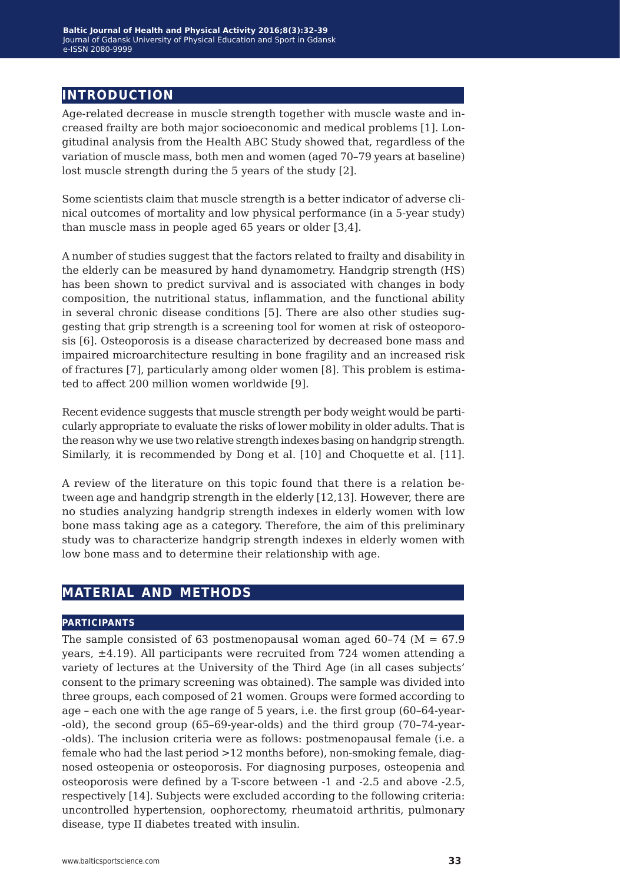## **introduction**

Age-related decrease in muscle strength together with muscle waste and increased frailty are both major socioeconomic and medical problems [1]. Longitudinal analysis from the Health ABC Study showed that, regardless of the variation of muscle mass, both men and women (aged 70–79 years at baseline) lost muscle strength during the 5 years of the study [2].

Some scientists claim that muscle strength is a better indicator of adverse clinical outcomes of mortality and low physical performance (in a 5-year study) than muscle mass in people aged 65 years or older [3,4].

A number of studies suggest that the factors related to frailty and disability in the elderly can be measured by hand dynamometry. Handgrip strength (HS) has been shown to predict survival and is associated with changes in body composition, the nutritional status, inflammation, and the functional ability in several chronic disease conditions [5]. There are also other studies suggesting that grip strength is a screening tool for women at risk of osteoporosis [6]. Osteoporosis is a disease characterized by decreased bone mass and impaired microarchitecture resulting in bone fragility and an increased risk of fractures [7], particularly among older women [8]. This problem is estimated to affect 200 million women worldwide [9].

Recent evidence suggests that muscle strength per body weight would be particularly appropriate to evaluate the risks of lower mobility in older adults. That is the reason why we use two relative strength indexes basing on handgrip strength. Similarly, it is recommended by Dong et al. [10] and Choquette et al. [11].

A review of the literature on this topic found that there is a relation between age and handgrip strength in the elderly [12,13]. However, there are no studies analyzing handgrip strength indexes in elderly women with low bone mass taking age as a category. Therefore, the aim of this preliminary study was to characterize handgrip strength indexes in elderly women with low bone mass and to determine their relationship with age.

## **material and methods**

#### **participants**

The sample consisted of 63 postmenopausal woman aged  $60-74$  (M = 67.9) years,  $\pm$ 4.19). All participants were recruited from 724 women attending a variety of lectures at the University of the Third Age (in all cases subjects' consent to the primary screening was obtained). The sample was divided into three groups, each composed of 21 women. Groups were formed according to age – each one with the age range of 5 years, i.e. the first group (60–64-year- -old), the second group (65–69-year-olds) and the third group (70–74-year- -olds). The inclusion criteria were as follows: postmenopausal female (i.e. a female who had the last period >12 months before), non-smoking female, diagnosed osteopenia or osteoporosis. For diagnosing purposes, osteopenia and osteoporosis were defined by a T-score between ‑1 and ‑2.5 and above ‑2.5, respectively [14]. Subjects were excluded according to the following criteria: uncontrolled hypertension, oophorectomy, rheumatoid arthritis, pulmonary disease, type II diabetes treated with insulin.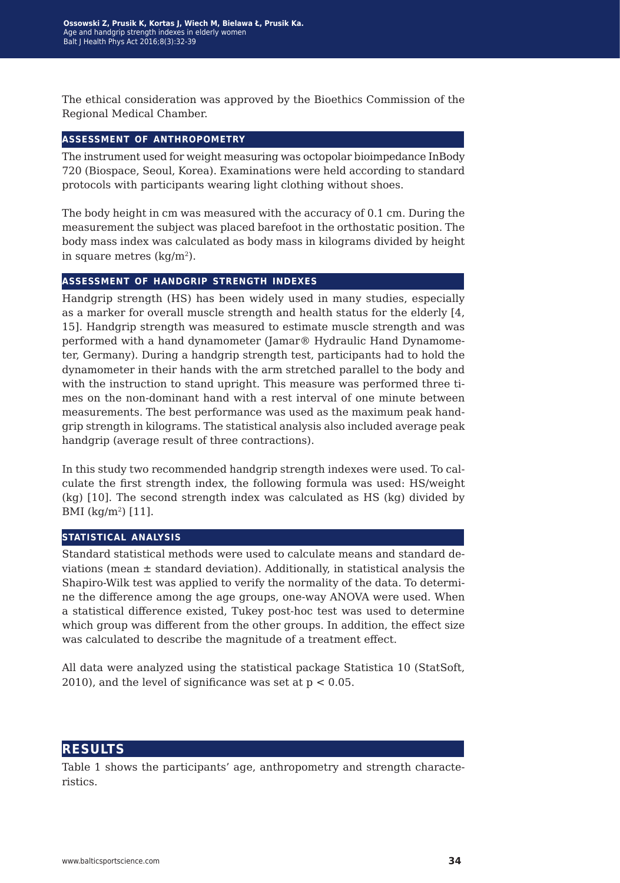The ethical consideration was approved by the Bioethics Commission of the Regional Medical Chamber.

#### **assessment of anthropometry**

The instrument used for weight measuring was octopolar bioimpedance InBody 720 (Biospace, Seoul, Korea). Examinations were held according to standard protocols with participants wearing light clothing without shoes.

The body height in cm was measured with the accuracy of 0.1 cm. During the measurement the subject was placed barefoot in the orthostatic position. The body mass index was calculated as body mass in kilograms divided by height in square metres  $(kq/m<sup>2</sup>)$ .

#### **assessment of handgrip strength indexes**

Handgrip strength (HS) has been widely used in many studies, especially as a marker for overall muscle strength and health status for the elderly [4, 15]. Handgrip strength was measured to estimate muscle strength and was performed with a hand dynamometer (Jamar® Hydraulic Hand Dynamometer, Germany). During a handgrip strength test, participants had to hold the dynamometer in their hands with the arm stretched parallel to the body and with the instruction to stand upright. This measure was performed three times on the non-dominant hand with a rest interval of one minute between measurements. The best performance was used as the maximum peak handgrip strength in kilograms. The statistical analysis also included average peak handgrip (average result of three contractions).

In this study two recommended handgrip strength indexes were used. To calculate the first strength index, the following formula was used: HS/weight (kg) [10]. The second strength index was calculated as HS (kg) divided by BMI (kg/m2) [11].

#### **statistical analysis**

Standard statistical methods were used to calculate means and standard deviations (mean  $\pm$  standard deviation). Additionally, in statistical analysis the Shapiro-Wilk test was applied to verify the normality of the data. To determine the difference among the age groups, one-way ANOVA were used. When a statistical difference existed, Tukey post-hoc test was used to determine which group was different from the other groups. In addition, the effect size was calculated to describe the magnitude of a treatment effect.

All data were analyzed using the statistical package Statistica 10 (StatSoft, 2010), and the level of significance was set at  $p < 0.05$ .

## **results**

Table 1 shows the participants' age, anthropometry and strength characteristics.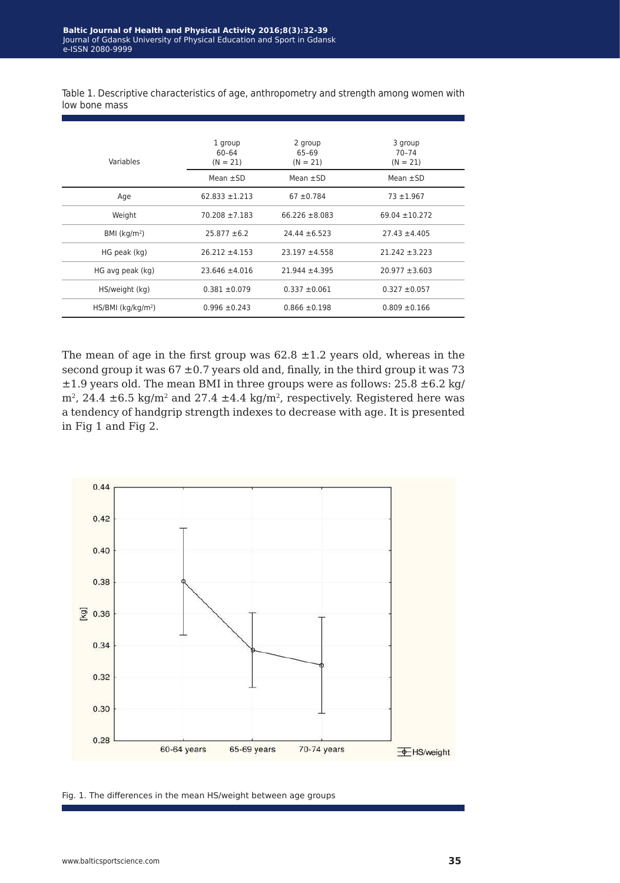Table 1. Descriptive characteristics of age, anthropometry and strength among women with low bone mass

| Variables                        | 1 group<br>60-64<br>$(N = 21)$ | 2 group<br>65-69<br>$(N = 21)$ | 3 group<br>$70 - 74$<br>$(N = 21)$ |  |
|----------------------------------|--------------------------------|--------------------------------|------------------------------------|--|
|                                  | Mean $\pm$ SD                  | Mean $\pm$ SD                  | Mean $\pm$ SD                      |  |
| Age                              | $62.833 \pm 1.213$             | $67 \pm 0.784$                 | $73 + 1.967$                       |  |
| Weight                           | $70.208 \pm 7.183$             | $66.226 \pm 8.083$             | $69.04 \pm 10.272$                 |  |
| BMI ( $kg/m2$ )                  | $25.877 \pm 6.2$               | $24.44 \pm 6.523$              | $27.43 \pm 4.405$                  |  |
| HG peak (kg)                     | $26.212 \pm 4.153$             | $23.197 + 4.558$               | $21.242 \pm 3.223$                 |  |
| HG avg peak (kg)                 | $23.646 \pm 4.016$             | $21.944 \pm 4.395$             | $20.977 \pm 3.603$                 |  |
| HS/weight (kg)                   | $0.381 \pm 0.079$              | $0.337 \pm 0.061$              | $0.327 \pm 0.057$                  |  |
| $HS/BMI$ (kg/kg/m <sup>2</sup> ) | $0.996 \pm 0.243$              | $0.866 \pm 0.198$              | $0.809 \pm 0.166$                  |  |

The mean of age in the first group was  $62.8 \pm 1.2$  years old, whereas in the second group it was  $67 \pm 0.7$  years old and, finally, in the third group it was 73  $\pm 1.9$  years old. The mean BMI in three groups were as follows: 25.8  $\pm 6.2$  kg/  $m^2$ , 24.4  $\pm$ 6.5 kg/m<sup>2</sup> and 27.4  $\pm$ 4.4 kg/m<sup>2</sup>, respectively. Registered here was a tendency of handgrip strength indexes to decrease with age. It is presented in Fig 1 and Fig 2.



Fig. 1. The differences in the mean HS/weight between age groups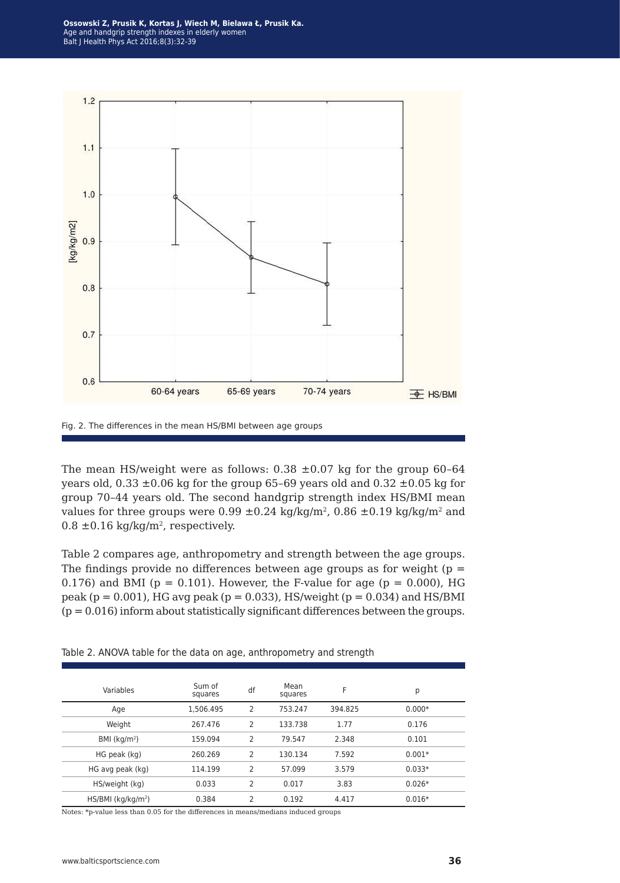**Ossowski Z, Prusik K, Kortas J, Wiech M, Bielawa Ł, Prusik Ka.**  Age and handgrip strength indexes in elderly women Balt J Health Phys Act 2016;8(3):32-39



Fig. 2. The differences in the mean HS/BMI between age groups

The mean HS/weight were as follows:  $0.38 \pm 0.07$  kg for the group 60-64 years old,  $0.33 \pm 0.06$  kg for the group 65-69 years old and  $0.32 \pm 0.05$  kg for group 70–44 years old. The second handgrip strength index HS/BMI mean values for three groups were  $0.99 \pm 0.24$  kg/kg/m<sup>2</sup>,  $0.86 \pm 0.19$  kg/kg/m<sup>2</sup> and  $0.8 \pm 0.16$  kg/kg/m<sup>2</sup>, respectively.

Table 2 compares age, anthropometry and strength between the age groups. The findings provide no differences between age groups as for weight ( $p =$ 0.176) and BMI ( $p = 0.101$ ). However, the F-value for age ( $p = 0.000$ ), HG peak ( $p = 0.001$ ), HG avg peak ( $p = 0.033$ ), HS/weight ( $p = 0.034$ ) and HS/BMI  $(p = 0.016)$  inform about statistically significant differences between the groups.

Table 2. ANOVA table for the data on age, anthropometry and strength

| Variables                        | Sum of<br>squares | df             | Mean<br>squares | F       | р        |
|----------------------------------|-------------------|----------------|-----------------|---------|----------|
| Age                              | 1.506.495         | 2              | 753.247         | 394.825 | $0.000*$ |
| Weight                           | 267.476           | 2              | 133.738         | 1.77    | 0.176    |
| BMI $(kq/m2)$                    | 159.094           | $\overline{2}$ | 79.547          | 2.348   | 0.101    |
| HG peak (kg)                     | 260.269           | 2              | 130.134         | 7.592   | $0.001*$ |
| HG avg peak (kg)                 | 114.199           | 2              | 57.099          | 3.579   | $0.033*$ |
| HS/weight (kg)                   | 0.033             | 2              | 0.017           | 3.83    | $0.026*$ |
| $HS/BMI$ (kg/kg/m <sup>2</sup> ) | 0.384             | 2              | 0.192           | 4.417   | $0.016*$ |

Notes: \*p-value less than 0.05 for the differences in means/medians induced groups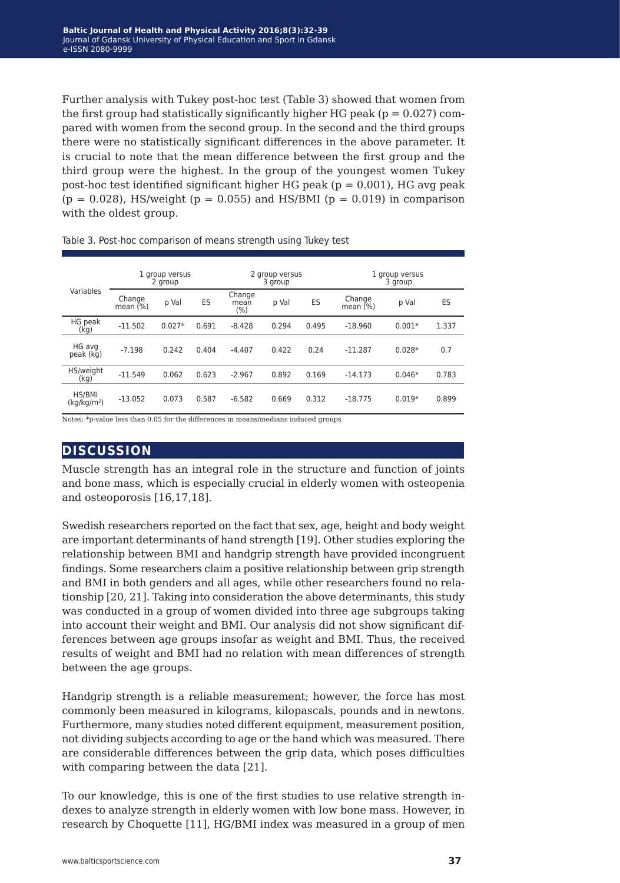Further analysis with Tukey post-hoc test (Table 3) showed that women from the first group had statistically significantly higher HG peak ( $p = 0.027$ ) compared with women from the second group. In the second and the third groups there were no statistically significant differences in the above parameter. It is crucial to note that the mean difference between the first group and the third group were the highest. In the group of the youngest women Tukey post-hoc test identified significant higher HG peak  $(p = 0.001)$ , HG avg peak  $(p = 0.028)$ , HS/weight  $(p = 0.055)$  and HS/BMI  $(p = 0.019)$  in comparison with the oldest group.

|                                   | 1 group versus<br>2 group |          |       | 2 group versus<br>3 group |       |       | 1 group versus<br>3 group |          |       |
|-----------------------------------|---------------------------|----------|-------|---------------------------|-------|-------|---------------------------|----------|-------|
| Variables                         | Change<br>mean $(%)$      | p Val    | ES    | Change<br>mean<br>$(\% )$ | p Val | ES    | Change<br>mean $(%)$      | p Val    | ES    |
| HG peak<br>(kg)                   | $-11.502$                 | $0.027*$ | 0.691 | $-8.428$                  | 0.294 | 0.495 | $-18.960$                 | $0.001*$ | 1.337 |
| HG avg<br>peak (kg)               | $-7.198$                  | 0.242    | 0.404 | $-4.407$                  | 0.422 | 0.24  | $-11.287$                 | $0.028*$ | 0.7   |
| HS/weight<br>(kq)                 | $-11.549$                 | 0.062    | 0.623 | $-2.967$                  | 0.892 | 0.169 | $-14.173$                 | $0.046*$ | 0.783 |
| HS/BMI<br>(kq/kg/m <sup>2</sup> ) | $-13.052$                 | 0.073    | 0.587 | $-6.582$                  | 0.669 | 0.312 | $-18.775$                 | $0.019*$ | 0.899 |

Table 3. Post-hoc comparison of means strength using Tukey test

Notes: \*p-value less than 0.05 for the differences in means/medians induced groups

## **discussion**

Muscle strength has an integral role in the structure and function of joints and bone mass, which is especially crucial in elderly women with osteopenia and osteoporosis [16,17,18].

Swedish researchers reported on the fact that sex, age, height and body weight are important determinants of hand strength [19]. Other studies exploring the relationship between BMI and handgrip strength have provided incongruent findings. Some researchers claim a positive relationship between grip strength and BMI in both genders and all ages, while other researchers found no relationship [20, 21]. Taking into consideration the above determinants, this study was conducted in a group of women divided into three age subgroups taking into account their weight and BMI. Our analysis did not show significant differences between age groups insofar as weight and BMI. Thus, the received results of weight and BMI had no relation with mean differences of strength between the age groups.

Handgrip strength is a reliable measurement; however, the force has most commonly been measured in kilograms, kilopascals, pounds and in newtons. Furthermore, many studies noted different equipment, measurement position, not dividing subjects according to age or the hand which was measured. There are considerable differences between the grip data, which poses difficulties with comparing between the data [21].

To our knowledge, this is one of the first studies to use relative strength indexes to analyze strength in elderly women with low bone mass. However, in research by Choquette [11], HG/BMI index was measured in a group of men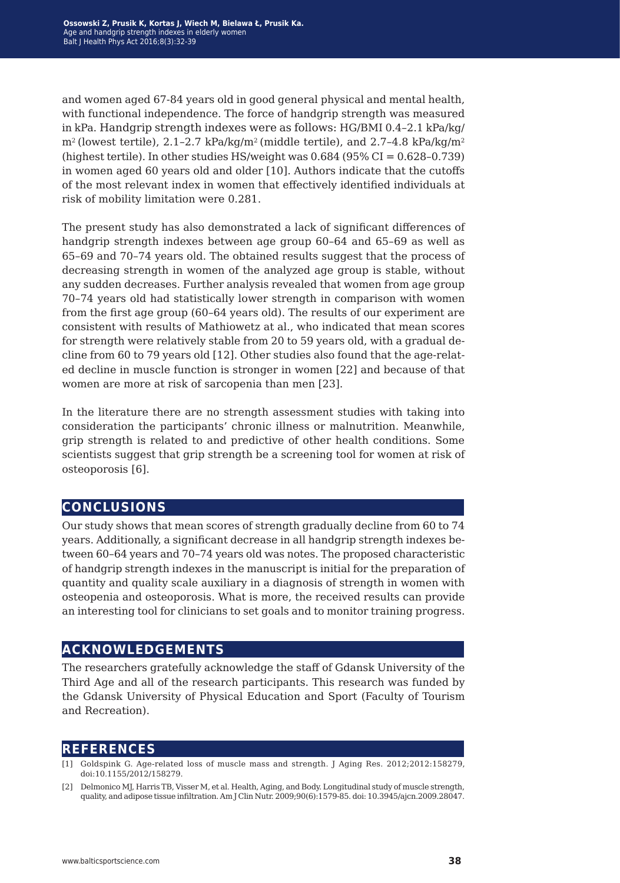and women aged 67-84 years old in good general physical and mental health, with functional independence. The force of handgrip strength was measured in kPa. Handgrip strength indexes were as follows: HG/BMI 0.4–2.1 kPa/kg/  $m^2$  (lowest tertile), 2.1-2.7 kPa/kg/m<sup>2</sup> (middle tertile), and 2.7-4.8 kPa/kg/m<sup>2</sup> (highest tertile). In other studies HS/weight was  $0.684$  (95% CI =  $0.628 - 0.739$ ) in women aged 60 years old and older [10]. Authors indicate that the cutoffs of the most relevant index in women that effectively identified individuals at risk of mobility limitation were 0.281.

The present study has also demonstrated a lack of significant differences of handgrip strength indexes between age group 60–64 and 65–69 as well as 65–69 and 70–74 years old. The obtained results suggest that the process of decreasing strength in women of the analyzed age group is stable, without any sudden decreases. Further analysis revealed that women from age group 70–74 years old had statistically lower strength in comparison with women from the first age group (60–64 years old). The results of our experiment are consistent with results of Mathiowetz at al., who indicated that mean scores for strength were relatively stable from 20 to 59 years old, with a gradual decline from 60 to 79 years old [12]. Other studies also found that the age-related decline in muscle function is stronger in women [22] and because of that women are more at risk of sarcopenia than men [23].

In the literature there are no strength assessment studies with taking into consideration the participants' chronic illness or malnutrition. Meanwhile, grip strength is related to and predictive of other health conditions. Some scientists suggest that grip strength be a screening tool for women at risk of osteoporosis [6].

## **conclusions**

Our study shows that mean scores of strength gradually decline from 60 to 74 years. Additionally, a significant decrease in all handgrip strength indexes between 60–64 years and 70–74 years old was notes. The proposed characteristic of handgrip strength indexes in the manuscript is initial for the preparation of quantity and quality scale auxiliary in a diagnosis of strength in women with osteopenia and osteoporosis. What is more, the received results can provide an interesting tool for clinicians to set goals and to monitor training progress.

## **acknowledgements**

The researchers gratefully acknowledge the staff of Gdansk University of the Third Age and all of the research participants. This research was funded by the Gdansk University of Physical Education and Sport (Faculty of Tourism and Recreation).

## **references**

- [1] Goldspink G. Age-related loss of muscle mass and strength. J Aging Res. 2012;2012:158279, doi:10.1155/2012/158279.
- [2] Delmonico MJ, Harris TB, Visser M, et al. Health, Aging, and Body. Longitudinal study of muscle strength, quality, and adipose tissue infiltration. Am J Clin Nutr. 2009;90(6):1579-85. doi: 10.3945/ajcn.2009.28047.